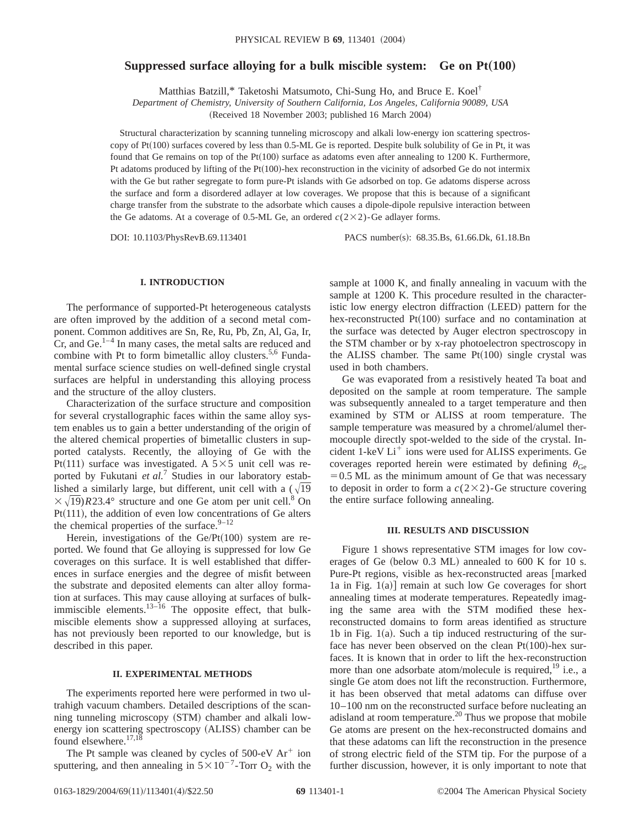# **Suppressed surface alloying for a bulk miscible system:** Ge on Pt(100)

Matthias Batzill,\* Taketoshi Matsumoto, Chi-Sung Ho, and Bruce E. Koel†

*Department of Chemistry, University of Southern California, Los Angeles, California 90089, USA*

(Received 18 November 2003; published 16 March 2004)

Structural characterization by scanning tunneling microscopy and alkali low-energy ion scattering spectroscopy of  $Pt(100)$  surfaces covered by less than 0.5-ML Ge is reported. Despite bulk solubility of Ge in Pt, it was found that Ge remains on top of the  $Pt(100)$  surface as adatoms even after annealing to 1200 K. Furthermore, Pt adatoms produced by lifting of the Pt $(100)$ -hex reconstruction in the vicinity of adsorbed Ge do not intermix with the Ge but rather segregate to form pure-Pt islands with Ge adsorbed on top. Ge adatoms disperse across the surface and form a disordered adlayer at low coverages. We propose that this is because of a significant charge transfer from the substrate to the adsorbate which causes a dipole-dipole repulsive interaction between the Ge adatoms. At a coverage of 0.5-ML Ge, an ordered  $c(2\times2)$ -Ge adlayer forms.

DOI: 10.1103/PhysRevB.69.113401 PACS number(s): 68.35.Bs, 61.66.Dk, 61.18.Bn

# **I. INTRODUCTION**

The performance of supported-Pt heterogeneous catalysts are often improved by the addition of a second metal component. Common additives are Sn, Re, Ru, Pb, Zn, Al, Ga, Ir,  $Cr$ , and  $Ge$ .<sup>1–4</sup> In many cases, the metal salts are reduced and combine with Pt to form bimetallic alloy clusters.<sup>5,6</sup> Fundamental surface science studies on well-defined single crystal surfaces are helpful in understanding this alloying process and the structure of the alloy clusters.

Characterization of the surface structure and composition for several crystallographic faces within the same alloy system enables us to gain a better understanding of the origin of the altered chemical properties of bimetallic clusters in supported catalysts. Recently, the alloying of Ge with the Pt(111) surface was investigated. A  $5\times5$  unit cell was reported by Fukutani *et al.*<sup>7</sup> Studies in our laboratory established a similarly large, but different, unit cell with a  $(\sqrt{19})$  $\sqrt{(19)}R23.4^\circ$  structure and one Ge atom per unit cell.<sup>8</sup> On  $Pt(111)$ , the addition of even low concentrations of Ge alters the chemical properties of the surface. $9-12$ 

Herein, investigations of the  $Ge/Pt(100)$  system are reported. We found that Ge alloying is suppressed for low Ge coverages on this surface. It is well established that differences in surface energies and the degree of misfit between the substrate and deposited elements can alter alloy formation at surfaces. This may cause alloying at surfaces of bulkimmiscible elements. $13-\frac{16}{16}$  The opposite effect, that bulkmiscible elements show a suppressed alloying at surfaces, has not previously been reported to our knowledge, but is described in this paper.

### **II. EXPERIMENTAL METHODS**

The experiments reported here were performed in two ultrahigh vacuum chambers. Detailed descriptions of the scanning tunneling microscopy (STM) chamber and alkali lowenergy ion scattering spectroscopy (ALISS) chamber can be found elsewhere.<sup>17,18</sup>

The Pt sample was cleaned by cycles of  $500$ -eV Ar<sup>+</sup> ion sputtering, and then annealing in  $5 \times 10^{-7}$ -Torr O<sub>2</sub> with the

sample at 1000 K, and finally annealing in vacuum with the sample at 1200 K. This procedure resulted in the characteristic low energy electron diffraction (LEED) pattern for the hex-reconstructed  $Pt(100)$  surface and no contamination at the surface was detected by Auger electron spectroscopy in the STM chamber or by x-ray photoelectron spectroscopy in the ALISS chamber. The same  $Pt(100)$  single crystal was used in both chambers.

Ge was evaporated from a resistively heated Ta boat and deposited on the sample at room temperature. The sample was subsequently annealed to a target temperature and then examined by STM or ALISS at room temperature. The sample temperature was measured by a chromel/alumel thermocouple directly spot-welded to the side of the crystal. Incident 1-keV  $Li<sup>+</sup>$  ions were used for ALISS experiments. Ge coverages reported herein were estimated by defining  $\theta_{\text{Ge}}$  $=0.5$  ML as the minimum amount of Ge that was necessary to deposit in order to form a  $c(2\times2)$ -Ge structure covering the entire surface following annealing.

#### **III. RESULTS AND DISCUSSION**

Figure 1 shows representative STM images for low coverages of Ge (below  $0.3$  ML) annealed to 600 K for 10 s. Pure-Pt regions, visible as hex-reconstructed areas [marked] 1a in Fig.  $1(a)$ ] remain at such low Ge coverages for short annealing times at moderate temperatures. Repeatedly imaging the same area with the STM modified these hexreconstructed domains to form areas identified as structure 1b in Fig.  $1(a)$ . Such a tip induced restructuring of the surface has never been observed on the clean  $Pt(100)$ -hex surfaces. It is known that in order to lift the hex-reconstruction more than one adsorbate atom/molecule is required,  $^{19}$  i.e., a single Ge atom does not lift the reconstruction. Furthermore, it has been observed that metal adatoms can diffuse over 10–100 nm on the reconstructed surface before nucleating an adisland at room temperature.<sup>20</sup> Thus we propose that mobile Ge atoms are present on the hex-reconstructed domains and that these adatoms can lift the reconstruction in the presence of strong electric field of the STM tip. For the purpose of a further discussion, however, it is only important to note that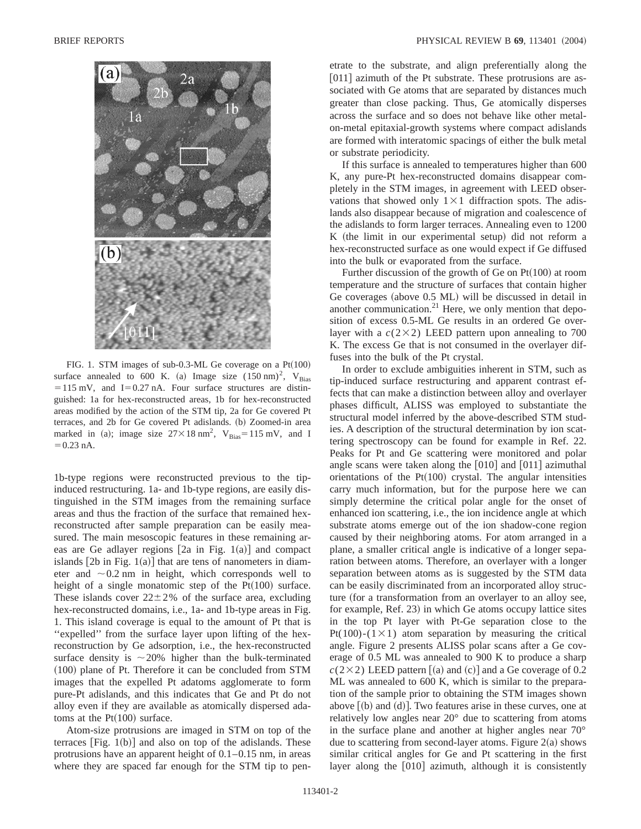

FIG. 1. STM images of sub-0.3-ML Ge coverage on a  $Pt(100)$ surface annealed to 600 K. (a) Image size  $(150 \text{ nm})^2$ , V<sub>Bias</sub>  $=115$  mV, and I=0.27 nA. Four surface structures are distinguished: 1a for hex-reconstructed areas, 1b for hex-reconstructed areas modified by the action of the STM tip, 2a for Ge covered Pt terraces, and 2b for Ge covered Pt adislands. (b) Zoomed-in area marked in (a); image size  $27 \times 18$  nm<sup>2</sup>, V<sub>Bias</sub>=115 mV, and I  $= 0.23$  nA.

1b-type regions were reconstructed previous to the tipinduced restructuring. 1a- and 1b-type regions, are easily distinguished in the STM images from the remaining surface areas and thus the fraction of the surface that remained hexreconstructed after sample preparation can be easily measured. The main mesoscopic features in these remaining areas are Ge adlayer regions  $[2a \text{ in Fig. 1(a)}]$  and compact islands  $[2b$  in Fig. 1(a)] that are tens of nanometers in diameter and  $\sim 0.2$  nm in height, which corresponds well to height of a single monatomic step of the  $Pt(100)$  surface. These islands cover  $22 \pm 2\%$  of the surface area, excluding hex-reconstructed domains, i.e., 1a- and 1b-type areas in Fig. 1. This island coverage is equal to the amount of Pt that is "expelled" from the surface layer upon lifting of the hexreconstruction by Ge adsorption, i.e., the hex-reconstructed surface density is  $\sim$  20% higher than the bulk-terminated  $(100)$  plane of Pt. Therefore it can be concluded from STM images that the expelled Pt adatoms agglomerate to form pure-Pt adislands, and this indicates that Ge and Pt do not alloy even if they are available as atomically dispersed adatoms at the  $Pt(100)$  surface.

Atom-size protrusions are imaged in STM on top of the terraces  $[Fig. 1(b)]$  and also on top of the adislands. These protrusions have an apparent height of 0.1–0.15 nm, in areas where they are spaced far enough for the STM tip to penetrate to the substrate, and align preferentially along the  $[011]$  azimuth of the Pt substrate. These protrusions are associated with Ge atoms that are separated by distances much greater than close packing. Thus, Ge atomically disperses across the surface and so does not behave like other metalon-metal epitaxial-growth systems where compact adislands are formed with interatomic spacings of either the bulk metal or substrate periodicity.

If this surface is annealed to temperatures higher than 600 K, any pure-Pt hex-reconstructed domains disappear completely in the STM images, in agreement with LEED observations that showed only  $1 \times 1$  diffraction spots. The adislands also disappear because of migration and coalescence of the adislands to form larger terraces. Annealing even to 1200  $K$  (the limit in our experimental setup) did not reform a hex-reconstructed surface as one would expect if Ge diffused into the bulk or evaporated from the surface.

Further discussion of the growth of Ge on  $Pt(100)$  at room temperature and the structure of surfaces that contain higher Ge coverages (above  $0.5$  ML) will be discussed in detail in another communication.<sup>21</sup> Here, we only mention that deposition of excess 0.5-ML Ge results in an ordered Ge overlayer with a  $c(2\times2)$  LEED pattern upon annealing to 700 K. The excess Ge that is not consumed in the overlayer diffuses into the bulk of the Pt crystal.

In order to exclude ambiguities inherent in STM, such as tip-induced surface restructuring and apparent contrast effects that can make a distinction between alloy and overlayer phases difficult, ALISS was employed to substantiate the structural model inferred by the above-described STM studies. A description of the structural determination by ion scattering spectroscopy can be found for example in Ref. 22. Peaks for Pt and Ge scattering were monitored and polar angle scans were taken along the  $[010]$  and  $[011]$  azimuthal orientations of the  $Pt(100)$  crystal. The angular intensities carry much information, but for the purpose here we can simply determine the critical polar angle for the onset of enhanced ion scattering, i.e., the ion incidence angle at which substrate atoms emerge out of the ion shadow-cone region caused by their neighboring atoms. For atom arranged in a plane, a smaller critical angle is indicative of a longer separation between atoms. Therefore, an overlayer with a longer separation between atoms as is suggested by the STM data can be easily discriminated from an incorporated alloy structure (for a transformation from an overlayer to an alloy see, for example, Ref. 23) in which Ge atoms occupy lattice sites in the top Pt layer with Pt-Ge separation close to the Pt(100)-(1×1) atom separation by measuring the critical angle. Figure 2 presents ALISS polar scans after a Ge coverage of 0.5 ML was annealed to 900 K to produce a sharp  $c(2\times2)$  LEED pattern  $\lceil(a)$  and  $\lceil(c)\rceil$  and a Ge coverage of 0.2 ML was annealed to 600 K, which is similar to the preparation of the sample prior to obtaining the STM images shown above  $[(b)$  and  $(d)]$ . Two features arise in these curves, one at relatively low angles near 20° due to scattering from atoms in the surface plane and another at higher angles near 70° due to scattering from second-layer atoms. Figure  $2(a)$  shows similar critical angles for Ge and Pt scattering in the first layer along the  $[010]$  azimuth, although it is consistently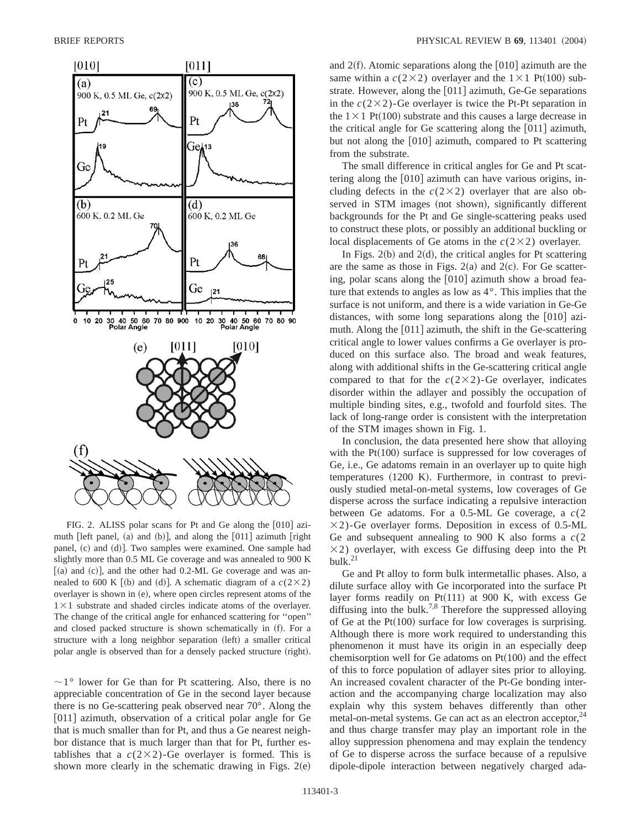

FIG. 2. ALISS polar scans for Pt and Ge along the  $[010]$  azimuth  $[left panel, (a) and (b)],$  and along the  $[011]$  azimuth  $[right]$ panel, (c) and (d)]. Two samples were examined. One sample had slightly more than 0.5 ML Ge coverage and was annealed to 900 K  $[(a)$  and  $(c)]$ , and the other had 0.2-ML Ge coverage and was annealed to 600 K [(b) and (d)]. A schematic diagram of a  $c(2\times2)$ overlayer is shown in (e), where open circles represent atoms of the  $1 \times 1$  substrate and shaded circles indicate atoms of the overlayer. The change of the critical angle for enhanced scattering for ''open'' and closed packed structure is shown schematically in (f). For a structure with a long neighbor separation (left) a smaller critical polar angle is observed than for a densely packed structure (right).

 $\sim$ 1° lower for Ge than for Pt scattering. Also, there is no appreciable concentration of Ge in the second layer because there is no Ge-scattering peak observed near 70°. Along the [011] azimuth, observation of a critical polar angle for Ge that is much smaller than for Pt, and thus a Ge nearest neighbor distance that is much larger than that for Pt, further establishes that a  $c(2\times2)$ -Ge overlayer is formed. This is shown more clearly in the schematic drawing in Figs.  $2(e)$  and  $2(f)$ . Atomic separations along the  $|010|$  azimuth are the same within a  $c(2\times2)$  overlayer and the  $1\times1$  Pt(100) substrate. However, along the  $[011]$  azimuth, Ge-Ge separations in the  $c(2\times2)$ -Ge overlayer is twice the Pt-Pt separation in the  $1\times1$  Pt(100) substrate and this causes a large decrease in the critical angle for Ge scattering along the  $[011]$  azimuth, but not along the  $[010]$  azimuth, compared to Pt scattering from the substrate.

The small difference in critical angles for Ge and Pt scattering along the  $[010]$  azimuth can have various origins, including defects in the  $c(2\times2)$  overlayer that are also observed in STM images (not shown), significantly different backgrounds for the Pt and Ge single-scattering peaks used to construct these plots, or possibly an additional buckling or local displacements of Ge atoms in the  $c(2\times2)$  overlayer.

In Figs.  $2(b)$  and  $2(d)$ , the critical angles for Pt scattering are the same as those in Figs.  $2(a)$  and  $2(c)$ . For Ge scattering, polar scans along the  $[010]$  azimuth show a broad feature that extends to angles as low as 4°. This implies that the surface is not uniform, and there is a wide variation in Ge-Ge distances, with some long separations along the  $[010]$  azimuth. Along the  $[011]$  azimuth, the shift in the Ge-scattering critical angle to lower values confirms a Ge overlayer is produced on this surface also. The broad and weak features, along with additional shifts in the Ge-scattering critical angle compared to that for the  $c(2\times2)$ -Ge overlayer, indicates disorder within the adlayer and possibly the occupation of multiple binding sites, e.g., twofold and fourfold sites. The lack of long-range order is consistent with the interpretation of the STM images shown in Fig. 1.

In conclusion, the data presented here show that alloying with the  $Pt(100)$  surface is suppressed for low coverages of Ge, i.e., Ge adatoms remain in an overlayer up to quite high  $temperatures$   $(1200 K)$ . Furthermore, in contrast to previously studied metal-on-metal systems, low coverages of Ge disperse across the surface indicating a repulsive interaction between Ge adatoms. For a 0.5-ML Ge coverage, a *c*(2  $\times$ 2)-Ge overlayer forms. Deposition in excess of 0.5-ML Ge and subsequent annealing to 900 K also forms a *c*(2  $\times$ 2) overlayer, with excess Ge diffusing deep into the Pt bulk.21

Ge and Pt alloy to form bulk intermetallic phases. Also, a dilute surface alloy with Ge incorporated into the surface Pt layer forms readily on Pt $(111)$  at 900 K, with excess Ge diffusing into the bulk.<sup>7,8</sup> Therefore the suppressed alloying of Ge at the Pt $(100)$  surface for low coverages is surprising. Although there is more work required to understanding this phenomenon it must have its origin in an especially deep chemisorption well for Ge adatoms on  $Pt(100)$  and the effect of this to force population of adlayer sites prior to alloying. An increased covalent character of the Pt-Ge bonding interaction and the accompanying charge localization may also explain why this system behaves differently than other metal-on-metal systems. Ge can act as an electron acceptor, $24$ and thus charge transfer may play an important role in the alloy suppression phenomena and may explain the tendency of Ge to disperse across the surface because of a repulsive dipole-dipole interaction between negatively charged ada